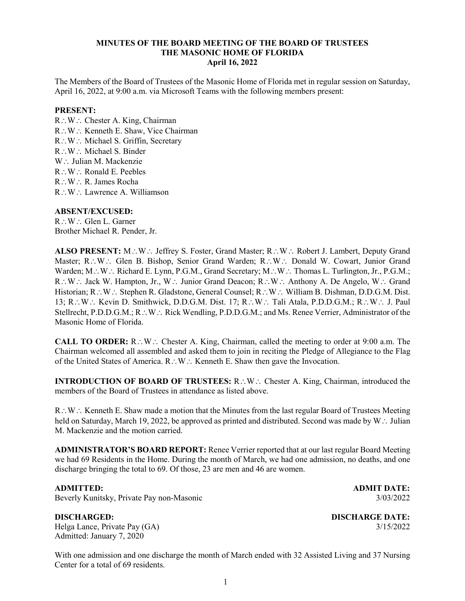# **MINUTES OF THE BOARD MEETING OF THE BOARD OF TRUSTEES THE MASONIC HOME OF FLORIDA April 16, 2022**

The Members of the Board of Trustees of the Masonic Home of Florida met in regular session on Saturday, April 16, 2022, at 9:00 a.m. via Microsoft Teams with the following members present:

## **PRESENT:**

R∴W∴ Chester A. King, Chairman R∴W∴ Kenneth E. Shaw, Vice Chairman R∴W∴ Michael S. Griffin, Secretary R∴W∴ Michael S. Binder W∴ Julian M. Mackenzie R∴W∴ Ronald E. Peebles R∴W∴ R. James Rocha R∴W∴ Lawrence A. Williamson

## **ABSENT/EXCUSED:**

R∴W∴ Glen L. Garner Brother Michael R. Pender, Jr.

**ALSO PRESENT:** M∴W∴ Jeffrey S. Foster, Grand Master; R∴W∴ Robert J. Lambert, Deputy Grand Master; R∴W∴ Glen B. Bishop, Senior Grand Warden; R∴W∴ Donald W. Cowart, Junior Grand Warden; M∴W∴ Richard E. Lynn, P.G.M., Grand Secretary; M∴W∴ Thomas L. Turlington, Jr., P.G.M.; R∴W∴ Jack W. Hampton, Jr., W∴ Junior Grand Deacon; R∴W∴ Anthony A. De Angelo, W∴ Grand Historian; R∴W∴ Stephen R. Gladstone, General Counsel; R∴W∴ William B. Dishman, D.D.G.M. Dist. 13; R∴W∴ Kevin D. Smithwick, D.D.G.M. Dist. 17; R∴W∴ Tali Atala, P.D.D.G.M.; R∴W∴ J. Paul Stellrecht, P.D.D.G.M.; R∴W∴ Rick Wendling, P.D.D.G.M.; and Ms. Renee Verrier, Administrator of the Masonic Home of Florida.

**CALL TO ORDER:** R∴W∴ Chester A. King, Chairman, called the meeting to order at 9:00 a.m. The Chairman welcomed all assembled and asked them to join in reciting the Pledge of Allegiance to the Flag of the United States of America. R∴W∴ Kenneth E. Shaw then gave the Invocation.

**INTRODUCTION OF BOARD OF TRUSTEES:** R∴W∴ Chester A. King, Chairman, introduced the members of the Board of Trustees in attendance as listed above.

R∴W∴ Kenneth E. Shaw made a motion that the Minutes from the last regular Board of Trustees Meeting held on Saturday, March 19, 2022, be approved as printed and distributed. Second was made by W∴ Julian M. Mackenzie and the motion carried.

**ADMINISTRATOR'S BOARD REPORT:** Renee Verrier reported that at our last regular Board Meeting we had 69 Residents in the Home. During the month of March, we had one admission, no deaths, and one discharge bringing the total to 69. Of those, 23 are men and 46 are women.

Beverly Kunitsky, Private Pay non-Masonic 3/03/2022

**ADMITTED: ADMIT DATE:**

Helga Lance, Private Pay (GA) 3/15/2022 Admitted: January 7, 2020

**DISCHARGED: DISCHARGE DATE:**

With one admission and one discharge the month of March ended with 32 Assisted Living and 37 Nursing Center for a total of 69 residents.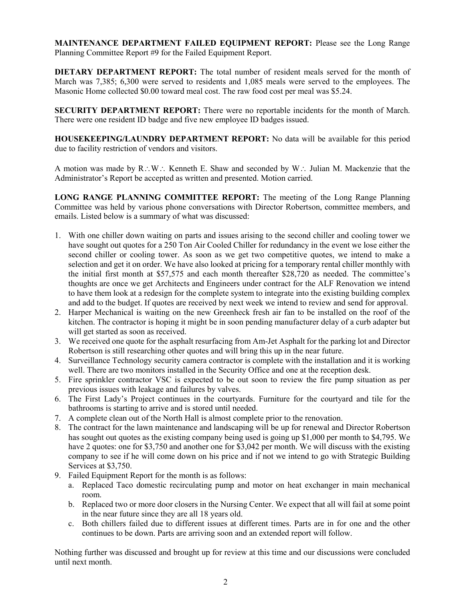**MAINTENANCE DEPARTMENT FAILED EQUIPMENT REPORT:** Please see the Long Range Planning Committee Report #9 for the Failed Equipment Report.

**DIETARY DEPARTMENT REPORT:** The total number of resident meals served for the month of March was 7,385; 6,300 were served to residents and 1,085 meals were served to the employees. The Masonic Home collected \$0.00 toward meal cost. The raw food cost per meal was \$5.24.

**SECURITY DEPARTMENT REPORT:** There were no reportable incidents for the month of March. There were one resident ID badge and five new employee ID badges issued.

**HOUSEKEEPING/LAUNDRY DEPARTMENT REPORT:** No data will be available for this period due to facility restriction of vendors and visitors.

A motion was made by R∴W∴ Kenneth E. Shaw and seconded by W∴ Julian M. Mackenzie that the Administrator's Report be accepted as written and presented. Motion carried.

**LONG RANGE PLANNING COMMITTEE REPORT:** The meeting of the Long Range Planning Committee was held by various phone conversations with Director Robertson, committee members, and emails. Listed below is a summary of what was discussed:

- 1. With one chiller down waiting on parts and issues arising to the second chiller and cooling tower we have sought out quotes for a 250 Ton Air Cooled Chiller for redundancy in the event we lose either the second chiller or cooling tower. As soon as we get two competitive quotes, we intend to make a selection and get it on order. We have also looked at pricing for a temporary rental chiller monthly with the initial first month at \$57,575 and each month thereafter \$28,720 as needed. The committee's thoughts are once we get Architects and Engineers under contract for the ALF Renovation we intend to have them look at a redesign for the complete system to integrate into the existing building complex and add to the budget. If quotes are received by next week we intend to review and send for approval.
- 2. Harper Mechanical is waiting on the new Greenheck fresh air fan to be installed on the roof of the kitchen. The contractor is hoping it might be in soon pending manufacturer delay of a curb adapter but will get started as soon as received.
- 3. We received one quote for the asphalt resurfacing from Am-Jet Asphalt for the parking lot and Director Robertson is still researching other quotes and will bring this up in the near future.
- 4. Surveillance Technology security camera contractor is complete with the installation and it is working well. There are two monitors installed in the Security Office and one at the reception desk.
- 5. Fire sprinkler contractor VSC is expected to be out soon to review the fire pump situation as per previous issues with leakage and failures by valves.
- 6. The First Lady's Project continues in the courtyards. Furniture for the courtyard and tile for the bathrooms is starting to arrive and is stored until needed.
- 7. A complete clean out of the North Hall is almost complete prior to the renovation.
- 8. The contract for the lawn maintenance and landscaping will be up for renewal and Director Robertson has sought out quotes as the existing company being used is going up \$1,000 per month to \$4,795. We have 2 quotes: one for \$3,750 and another one for \$3,042 per month. We will discuss with the existing company to see if he will come down on his price and if not we intend to go with Strategic Building Services at \$3,750.
- 9. Failed Equipment Report for the month is as follows:
	- a. Replaced Taco domestic recirculating pump and motor on heat exchanger in main mechanical room.
	- b. Replaced two or more door closers in the Nursing Center. We expect that all will fail at some point in the near future since they are all 18 years old.
	- c. Both chillers failed due to different issues at different times. Parts are in for one and the other continues to be down. Parts are arriving soon and an extended report will follow.

Nothing further was discussed and brought up for review at this time and our discussions were concluded until next month.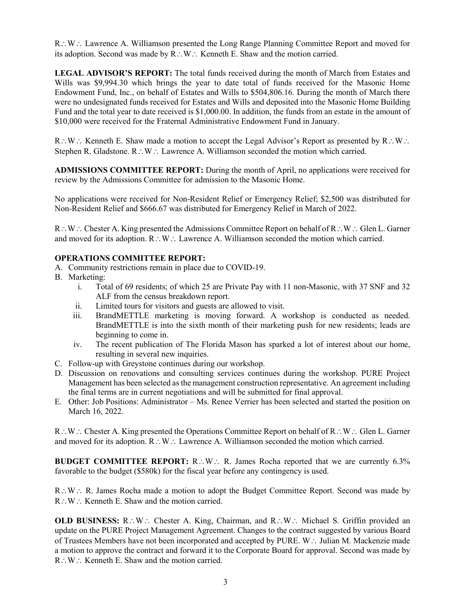R∴W∴ Lawrence A. Williamson presented the Long Range Planning Committee Report and moved for its adoption. Second was made by R∴W∴ Kenneth E. Shaw and the motion carried.

LEGAL ADVISOR'S REPORT: The total funds received during the month of March from Estates and Wills was \$9,994.30 which brings the year to date total of funds received for the Masonic Home Endowment Fund, Inc., on behalf of Estates and Wills to \$504,806.16. During the month of March there were no undesignated funds received for Estates and Wills and deposited into the Masonic Home Building Fund and the total year to date received is \$1,000.00. In addition, the funds from an estate in the amount of \$10,000 were received for the Fraternal Administrative Endowment Fund in January.

R∴W∴ Kenneth E. Shaw made a motion to accept the Legal Advisor's Report as presented by R∴W∴ Stephen R. Gladstone. R∴W∴ Lawrence A. Williamson seconded the motion which carried.

**ADMISSIONS COMMITTEE REPORT:** During the month of April, no applications were received for review by the Admissions Committee for admission to the Masonic Home.

No applications were received for Non-Resident Relief or Emergency Relief; \$2,500 was distributed for Non-Resident Relief and \$666.67 was distributed for Emergency Relief in March of 2022.

R∴W∴ Chester A. King presented the Admissions Committee Report on behalf of R∴W∴ Glen L. Garner and moved for its adoption. R∴W∴ Lawrence A. Williamson seconded the motion which carried.

## **OPERATIONS COMMITTEE REPORT:**

- A. Community restrictions remain in place due to COVID-19.
- B. Marketing:
	- i. Total of 69 residents; of which 25 are Private Pay with 11 non-Masonic, with 37 SNF and 32 ALF from the census breakdown report.
	- ii. Limited tours for visitors and guests are allowed to visit.
	- iii. BrandMETTLE marketing is moving forward. A workshop is conducted as needed. BrandMETTLE is into the sixth month of their marketing push for new residents; leads are beginning to come in.
	- iv. The recent publication of The Florida Mason has sparked a lot of interest about our home, resulting in several new inquiries.
- C. Follow-up with Greystone continues during our workshop.
- D. Discussion on renovations and consulting services continues during the workshop. PURE Project Management has been selected as the management construction representative. An agreement including the final terms are in current negotiations and will be submitted for final approval.
- E. Other: Job Positions: Administrator Ms. Renee Verrier has been selected and started the position on March 16, 2022.

R∴W∴ Chester A. King presented the Operations Committee Report on behalf of R∴W∴ Glen L. Garner and moved for its adoption. R∴W∴ Lawrence A. Williamson seconded the motion which carried.

**BUDGET COMMITTEE REPORT:** R∴W∴ R. James Rocha reported that we are currently 6.3% favorable to the budget (\$580k) for the fiscal year before any contingency is used.

R∴W∴ R. James Rocha made a motion to adopt the Budget Committee Report. Second was made by R∴W∴ Kenneth E. Shaw and the motion carried.

**OLD BUSINESS:** R∴W∴ Chester A. King, Chairman, and R∴W∴ Michael S. Griffin provided an update on the PURE Project Management Agreement. Changes to the contract suggested by various Board of Trustees Members have not been incorporated and accepted by PURE. W∴ Julian M. Mackenzie made a motion to approve the contract and forward it to the Corporate Board for approval. Second was made by R∴W∴ Kenneth E. Shaw and the motion carried.